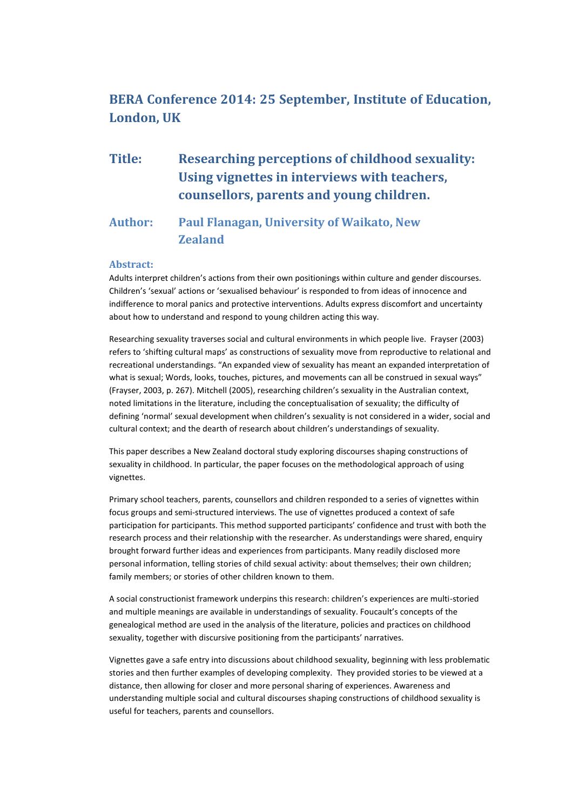# **BERA Conference 2014: 25 September, Institute of Education, London, UK**

# **Title: Researching perceptions of childhood sexuality: Using vignettes in interviews with teachers, counsellors, parents and young children.**

# **Author: Paul Flanagan, University of Waikato, New Zealand**

#### **Abstract:**

Adults interpret children's actions from their own positionings within culture and gender discourses. Children's 'sexual' actions or 'sexualised behaviour' is responded to from ideas of innocence and indifference to moral panics and protective interventions. Adults express discomfort and uncertainty about how to understand and respond to young children acting this way.

Researching sexuality traverses social and cultural environments in which people live. Frayser (2003) refers to 'shifting cultural maps' as constructions of sexuality move from reproductive to relational and recreational understandings. "An expanded view of sexuality has meant an expanded interpretation of what is sexual; Words, looks, touches, pictures, and movements can all be construed in sexual ways" (Frayser, 2003, p. 267). Mitchell (2005), researching children's sexuality in the Australian context, noted limitations in the literature, including the conceptualisation of sexuality; the difficulty of defining 'normal' sexual development when children's sexuality is not considered in a wider, social and cultural context; and the dearth of research about children's understandings of sexuality.

This paper describes a New Zealand doctoral study exploring discourses shaping constructions of sexuality in childhood. In particular, the paper focuses on the methodological approach of using vignettes.

Primary school teachers, parents, counsellors and children responded to a series of vignettes within focus groups and semi-structured interviews. The use of vignettes produced a context of safe participation for participants. This method supported participants' confidence and trust with both the research process and their relationship with the researcher. As understandings were shared, enquiry brought forward further ideas and experiences from participants. Many readily disclosed more personal information, telling stories of child sexual activity: about themselves; their own children; family members; or stories of other children known to them.

A social constructionist framework underpins this research: children's experiences are multi-storied and multiple meanings are available in understandings of sexuality. Foucault's concepts of the genealogical method are used in the analysis of the literature, policies and practices on childhood sexuality, together with discursive positioning from the participants' narratives.

Vignettes gave a safe entry into discussions about childhood sexuality, beginning with less problematic stories and then further examples of developing complexity. They provided stories to be viewed at a distance, then allowing for closer and more personal sharing of experiences. Awareness and understanding multiple social and cultural discourses shaping constructions of childhood sexuality is useful for teachers, parents and counsellors.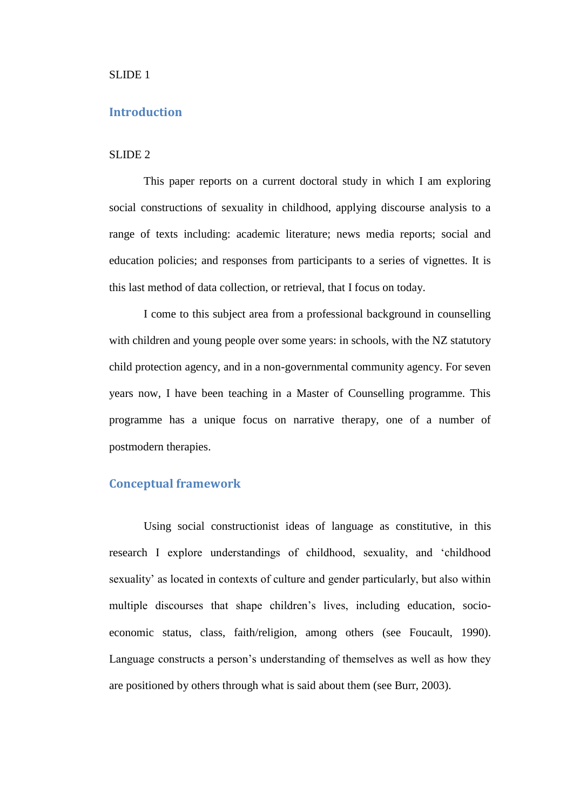### SLIDE 1

# **Introduction**

# SLIDE 2

This paper reports on a current doctoral study in which I am exploring social constructions of sexuality in childhood, applying discourse analysis to a range of texts including: academic literature; news media reports; social and education policies; and responses from participants to a series of vignettes. It is this last method of data collection, or retrieval, that I focus on today.

I come to this subject area from a professional background in counselling with children and young people over some years: in schools, with the NZ statutory child protection agency, and in a non-governmental community agency. For seven years now, I have been teaching in a Master of Counselling programme. This programme has a unique focus on narrative therapy, one of a number of postmodern therapies.

# **Conceptual framework**

Using social constructionist ideas of language as constitutive, in this research I explore understandings of childhood, sexuality, and 'childhood sexuality' as located in contexts of culture and gender particularly, but also within multiple discourses that shape children's lives, including education, socioeconomic status, class, faith/religion, among others (see Foucault, 1990). Language constructs a person's understanding of themselves as well as how they are positioned by others through what is said about them (see Burr, 2003).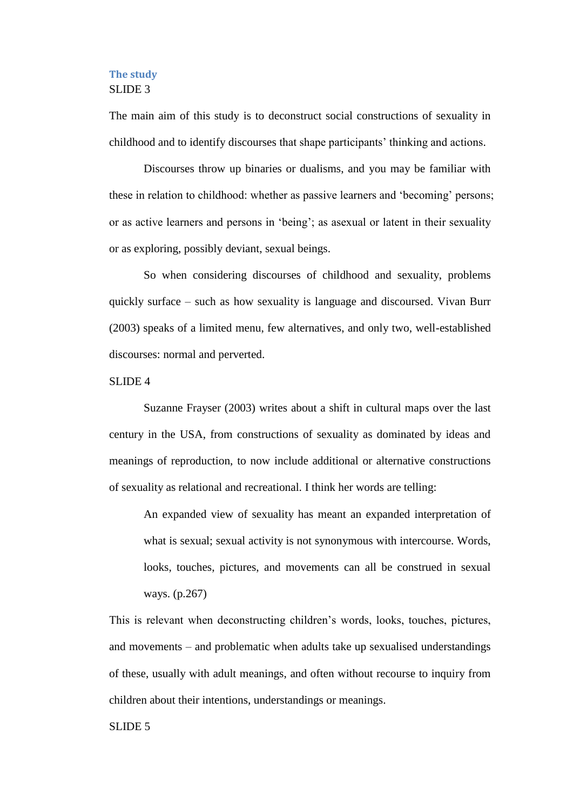# **The study** SLIDE 3

The main aim of this study is to deconstruct social constructions of sexuality in childhood and to identify discourses that shape participants' thinking and actions.

Discourses throw up binaries or dualisms, and you may be familiar with these in relation to childhood: whether as passive learners and 'becoming' persons; or as active learners and persons in 'being'; as asexual or latent in their sexuality or as exploring, possibly deviant, sexual beings.

So when considering discourses of childhood and sexuality, problems quickly surface – such as how sexuality is language and discoursed. Vivan Burr (2003) speaks of a limited menu, few alternatives, and only two, well-established discourses: normal and perverted.

### SLIDE 4

Suzanne Frayser (2003) writes about a shift in cultural maps over the last century in the USA, from constructions of sexuality as dominated by ideas and meanings of reproduction, to now include additional or alternative constructions of sexuality as relational and recreational. I think her words are telling:

An expanded view of sexuality has meant an expanded interpretation of what is sexual; sexual activity is not synonymous with intercourse. Words, looks, touches, pictures, and movements can all be construed in sexual ways. (p.267)

This is relevant when deconstructing children's words, looks, touches, pictures, and movements – and problematic when adults take up sexualised understandings of these, usually with adult meanings, and often without recourse to inquiry from children about their intentions, understandings or meanings.

## SLIDE 5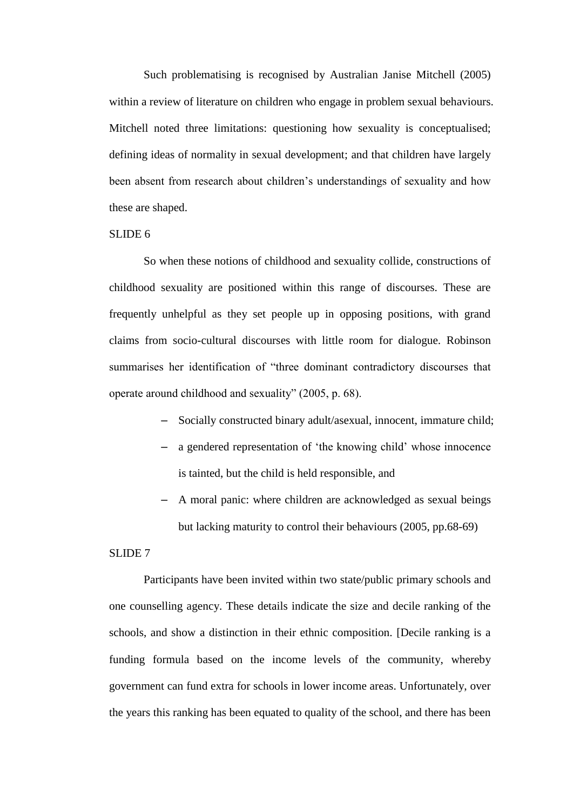Such problematising is recognised by Australian Janise Mitchell (2005) within a review of literature on children who engage in problem sexual behaviours. Mitchell noted three limitations: questioning how sexuality is conceptualised; defining ideas of normality in sexual development; and that children have largely been absent from research about children's understandings of sexuality and how these are shaped.

# SLIDE 6

So when these notions of childhood and sexuality collide, constructions of childhood sexuality are positioned within this range of discourses. These are frequently unhelpful as they set people up in opposing positions, with grand claims from socio-cultural discourses with little room for dialogue. Robinson summarises her identification of "three dominant contradictory discourses that operate around childhood and sexuality" (2005, p. 68).

- Socially constructed binary adult/asexual, innocent, immature child;
- a gendered representation of 'the knowing child' whose innocence is tainted, but the child is held responsible, and
- A moral panic: where children are acknowledged as sexual beings but lacking maturity to control their behaviours (2005, pp.68-69)

#### SLIDE 7

Participants have been invited within two state/public primary schools and one counselling agency. These details indicate the size and decile ranking of the schools, and show a distinction in their ethnic composition. [Decile ranking is a funding formula based on the income levels of the community, whereby government can fund extra for schools in lower income areas. Unfortunately, over the years this ranking has been equated to quality of the school, and there has been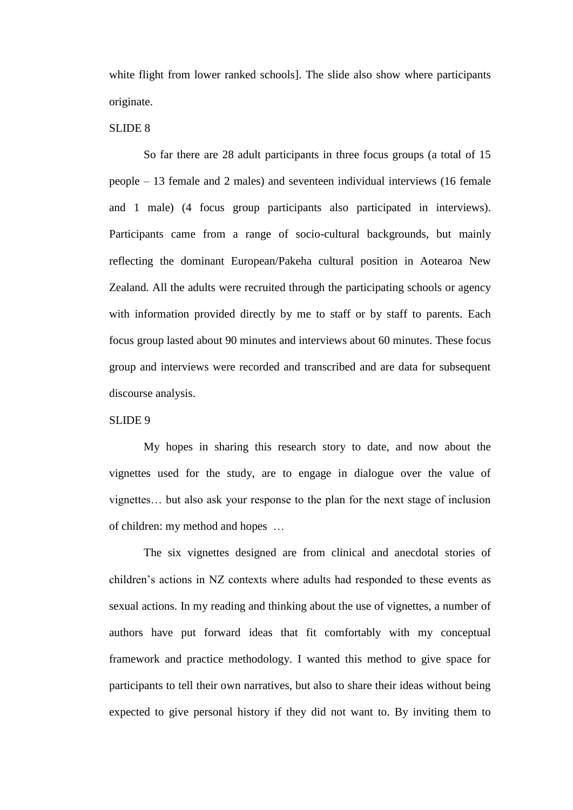white flight from lower ranked schools]. The slide also show where participants originate.

# SLIDE 8

So far there are 28 adult participants in three focus groups (a total of 15 people – 13 female and 2 males) and seventeen individual interviews (16 female and 1 male) (4 focus group participants also participated in interviews). Participants came from a range of socio-cultural backgrounds, but mainly reflecting the dominant European/Pakeha cultural position in Aotearoa New Zealand. All the adults were recruited through the participating schools or agency with information provided directly by me to staff or by staff to parents. Each focus group lasted about 90 minutes and interviews about 60 minutes. These focus group and interviews were recorded and transcribed and are data for subsequent discourse analysis.

## SLIDE 9

My hopes in sharing this research story to date, and now about the vignettes used for the study, are to engage in dialogue over the value of vignettes… but also ask your response to the plan for the next stage of inclusion of children: my method and hopes …

The six vignettes designed are from clinical and anecdotal stories of children's actions in NZ contexts where adults had responded to these events as sexual actions. In my reading and thinking about the use of vignettes, a number of authors have put forward ideas that fit comfortably with my conceptual framework and practice methodology. I wanted this method to give space for participants to tell their own narratives, but also to share their ideas without being expected to give personal history if they did not want to. By inviting them to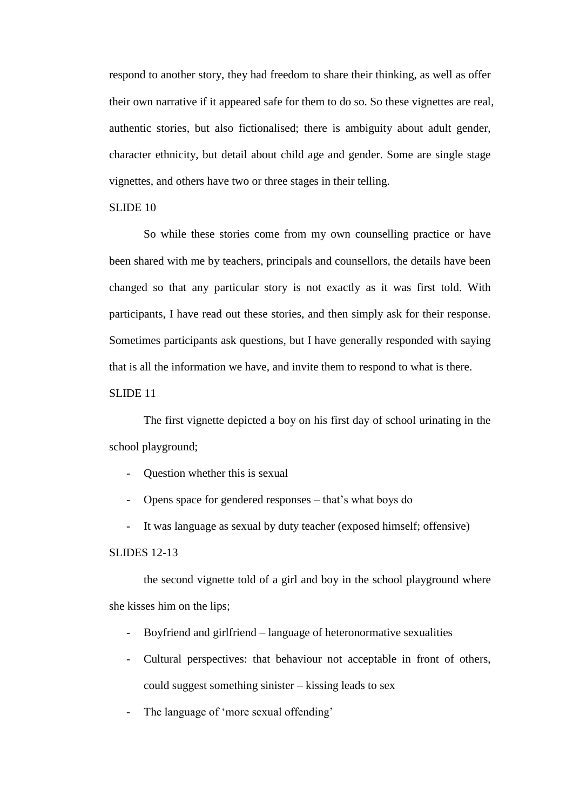respond to another story, they had freedom to share their thinking, as well as offer their own narrative if it appeared safe for them to do so. So these vignettes are real, authentic stories, but also fictionalised; there is ambiguity about adult gender, character ethnicity, but detail about child age and gender. Some are single stage vignettes, and others have two or three stages in their telling.

# SLIDE 10

So while these stories come from my own counselling practice or have been shared with me by teachers, principals and counsellors, the details have been changed so that any particular story is not exactly as it was first told. With participants, I have read out these stories, and then simply ask for their response. Sometimes participants ask questions, but I have generally responded with saying that is all the information we have, and invite them to respond to what is there.

### SLIDE 11

The first vignette depicted a boy on his first day of school urinating in the school playground;

- Question whether this is sexual

- Opens space for gendered responses – that's what boys do

It was language as sexual by duty teacher (exposed himself; offensive)

### SLIDES 12-13

the second vignette told of a girl and boy in the school playground where she kisses him on the lips;

- Boyfriend and girlfriend language of heteronormative sexualities
- Cultural perspectives: that behaviour not acceptable in front of others, could suggest something sinister – kissing leads to sex
- The language of 'more sexual offending'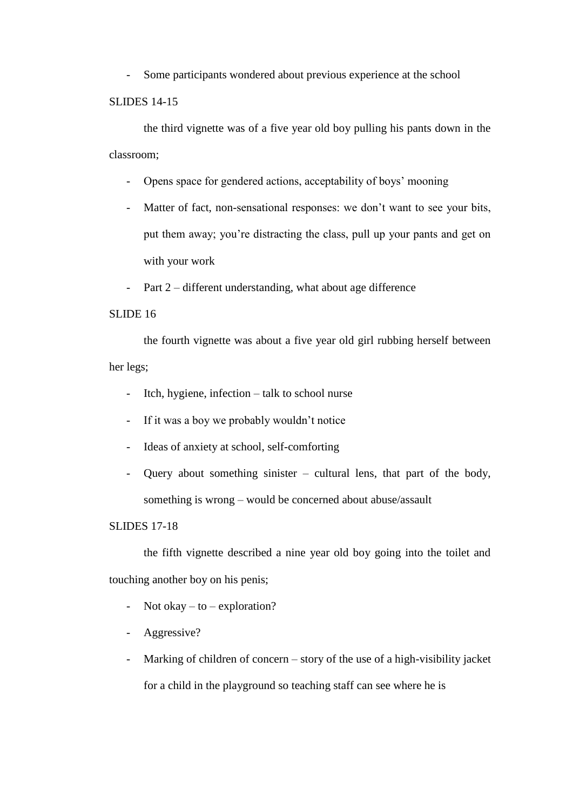Some participants wondered about previous experience at the school

# SLIDES 14-15

the third vignette was of a five year old boy pulling his pants down in the classroom;

- Opens space for gendered actions, acceptability of boys' mooning
- Matter of fact, non-sensational responses: we don't want to see your bits, put them away; you're distracting the class, pull up your pants and get on with your work
- Part 2 different understanding, what about age difference

# SLIDE 16

the fourth vignette was about a five year old girl rubbing herself between her legs;

- Itch, hygiene, infection talk to school nurse
- If it was a boy we probably wouldn't notice
- Ideas of anxiety at school, self-comforting
- Query about something sinister cultural lens, that part of the body, something is wrong – would be concerned about abuse/assault

# SLIDES 17-18

the fifth vignette described a nine year old boy going into the toilet and touching another boy on his penis;

- Not okay to exploration?
- Aggressive?
- Marking of children of concern story of the use of a high-visibility jacket for a child in the playground so teaching staff can see where he is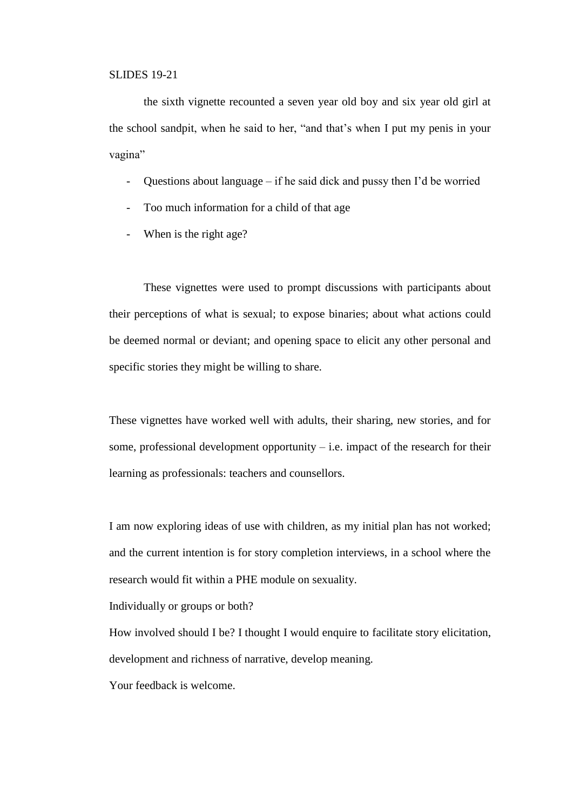### SLIDES 19-21

the sixth vignette recounted a seven year old boy and six year old girl at the school sandpit, when he said to her, "and that's when I put my penis in your vagina"

- Questions about language if he said dick and pussy then I'd be worried
- Too much information for a child of that age
- When is the right age?

These vignettes were used to prompt discussions with participants about their perceptions of what is sexual; to expose binaries; about what actions could be deemed normal or deviant; and opening space to elicit any other personal and specific stories they might be willing to share.

These vignettes have worked well with adults, their sharing, new stories, and for some, professional development opportunity  $-$  i.e. impact of the research for their learning as professionals: teachers and counsellors.

I am now exploring ideas of use with children, as my initial plan has not worked; and the current intention is for story completion interviews, in a school where the research would fit within a PHE module on sexuality.

Individually or groups or both?

How involved should I be? I thought I would enquire to facilitate story elicitation, development and richness of narrative, develop meaning.

Your feedback is welcome.